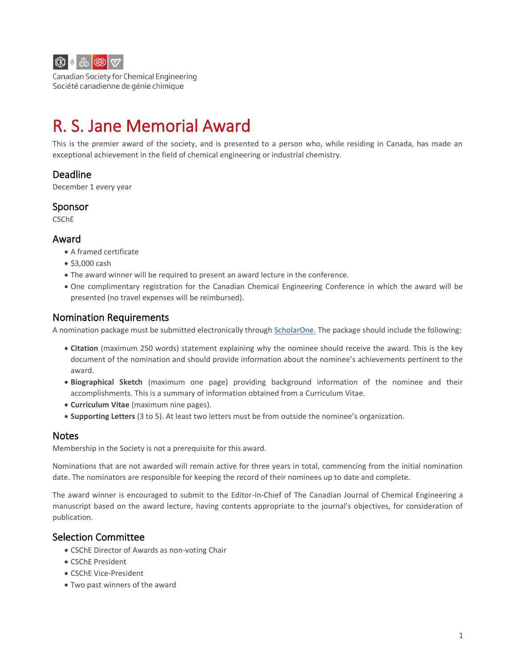

Canadian Society for Chemical Engineering Société canadienne de génie chimique

# R. S. Jane Memorial Award

This is the premier award of the society, and is presented to a person who, while residing in Canada, has made an exceptional achievement in the field of chemical engineering or industrial chemistry.

# Deadline

December 1 every year

#### Sponsor

CSChE

#### Award

- A framed certificate
- \$3,000 cash
- The award winner will be required to present an award lecture in the conference.
- One complimentary registration for the Canadian Chemical Engineering Conference in which the award will be presented (no travel expenses will be reimbursed).

## Nomination Requirements

A nomination package must be submitted electronically through [ScholarOne.](http://mc04.manuscriptcentral.com/cicawards) The package should include the following:

- **Citation** (maximum 250 words) statement explaining why the nominee should receive the award. This is the key document of the nomination and should provide information about the nominee's achievements pertinent to the award.
- **Biographical Sketch** (maximum one page) providing background information of the nominee and their accomplishments. This is a summary of information obtained from a Curriculum Vitae.
- **Curriculum Vitae** (maximum nine pages).
- **Supporting Letters** (3 to 5). At least two letters must be from outside the nominee's organization.

### Notes

Membership in the Society is not a prerequisite for this award.

Nominations that are not awarded will remain active for three years in total, commencing from the initial nomination date. The nominators are responsible for keeping the record of their nominees up to date and complete.

The award winner is encouraged to submit to the Editor-In-Chief of The Canadian Journal of Chemical Engineering a manuscript based on the award lecture, having contents appropriate to the journal's objectives, for consideration of publication.

# Selection Committee

- CSChE Director of Awards as non-voting Chair
- CSChE President
- CSChE Vice-President
- Two past winners of the award